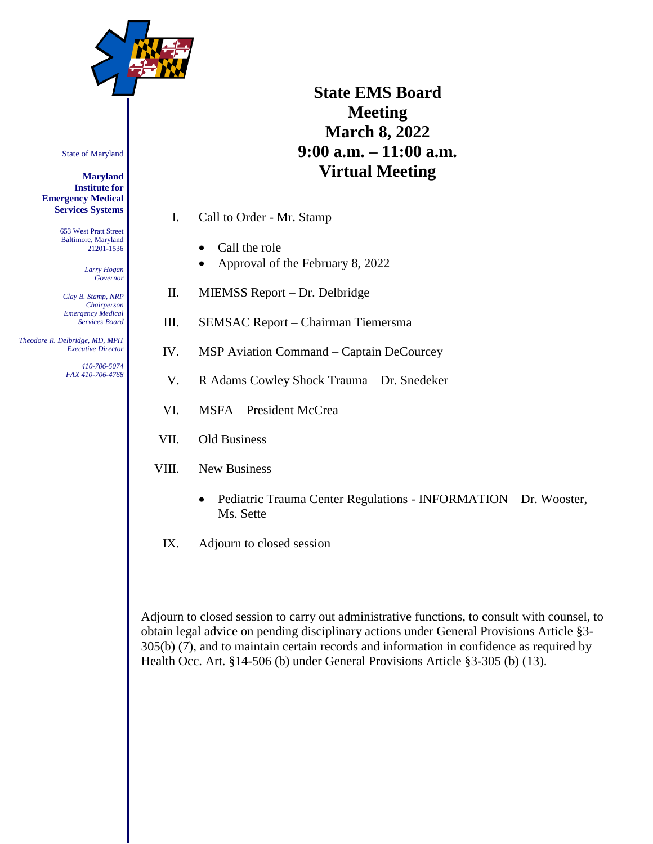

# **State EMS Board Meeting March 8, 2022 9:00 a.m. – 11:00 a.m. Virtual Meeting**

I. Call to Order - Mr. Stamp

- Call the role
- Approval of the February 8, 2022
- II. MIEMSS Report Dr. Delbridge
- III. SEMSAC Report Chairman Tiemersma
- IV. MSP Aviation Command Captain DeCourcey
- V. R Adams Cowley Shock Trauma Dr. Snedeker
- VI. MSFA President McCrea
- VII. Old Business
- VIII. New Business
	- Pediatric Trauma Center Regulations INFORMATION Dr. Wooster, Ms. Sette
- IX. Adjourn to closed session

Adjourn to closed session to carry out administrative functions, to consult with counsel, to obtain legal advice on pending disciplinary actions under General Provisions Article §3- 305(b) (7), and to maintain certain records and information in confidence as required by Health Occ. Art. §14-506 (b) under General Provisions Article §3-305 (b) (13).

State of Maryland

**Maryland Institute for Emergency Medical Services Systems**

> 653 West Pratt Street Baltimore, Maryland 21201-1536

> > *Larry Hogan Governor*

*Clay B. Stamp, NRP Chairperson Emergency Medical Services Board*

 *Theodore R. Delbridge, MD, MPH Executive Director*

> *410-706-5074 FAX 410-706-4768*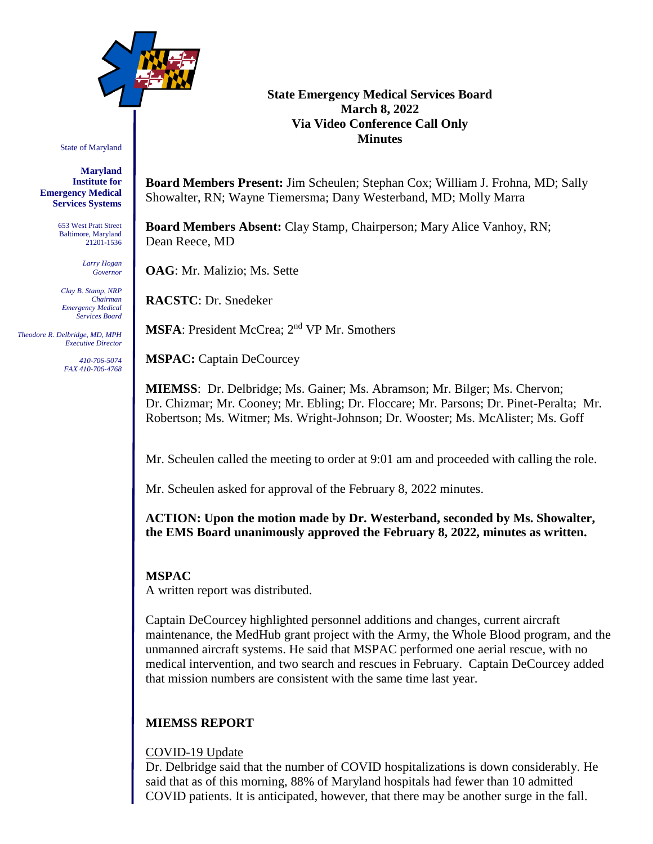

State of Maryland

**Maryland Institute for Emergency Medical Services Systems**

> 653 West Pratt Street Baltimore, Maryland 21201-1536

> > *Larry Hogan Governor*

*Clay B. Stamp, NRP Chairman Emergency Medical Services Board*

 *Theodore R. Delbridge, MD, MPH Executive Director*

> *410-706-5074 FAX 410-706-4768*

#### **State Emergency Medical Services Board March 8, 2022 Via Video Conference Call Only Minutes**

**Board Members Present:** Jim Scheulen; Stephan Cox; William J. Frohna, MD; Sally Showalter, RN; Wayne Tiemersma; Dany Westerband, MD; Molly Marra

**Board Members Absent:** Clay Stamp, Chairperson; Mary Alice Vanhoy, RN; Dean Reece, MD

**OAG**: Mr. Malizio; Ms. Sette

**RACSTC**: Dr. Snedeker

**MSFA**: President McCrea; 2<sup>nd</sup> VP Mr. Smothers

**MSPAC:** Captain DeCourcey

**MIEMSS**: Dr. Delbridge; Ms. Gainer; Ms. Abramson; Mr. Bilger; Ms. Chervon; Dr. Chizmar; Mr. Cooney; Mr. Ebling; Dr. Floccare; Mr. Parsons; Dr. Pinet-Peralta; Mr. Robertson; Ms. Witmer; Ms. Wright-Johnson; Dr. Wooster; Ms. McAlister; Ms. Goff

Mr. Scheulen called the meeting to order at 9:01 am and proceeded with calling the role.

Mr. Scheulen asked for approval of the February 8, 2022 minutes.

**ACTION: Upon the motion made by Dr. Westerband, seconded by Ms. Showalter, the EMS Board unanimously approved the February 8, 2022, minutes as written.**

# **MSPAC**

A written report was distributed.

Captain DeCourcey highlighted personnel additions and changes, current aircraft maintenance, the MedHub grant project with the Army, the Whole Blood program, and the unmanned aircraft systems. He said that MSPAC performed one aerial rescue, with no medical intervention, and two search and rescues in February. Captain DeCourcey added that mission numbers are consistent with the same time last year.

# **MIEMSS REPORT**

#### COVID-19 Update

Dr. Delbridge said that the number of COVID hospitalizations is down considerably. He said that as of this morning, 88% of Maryland hospitals had fewer than 10 admitted COVID patients. It is anticipated, however, that there may be another surge in the fall.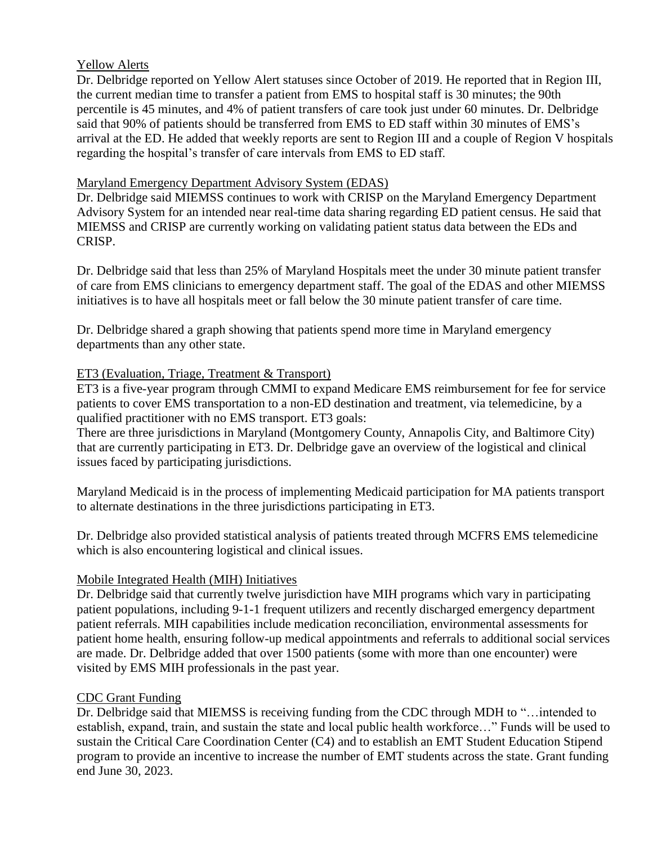## Yellow Alerts

Dr. Delbridge reported on Yellow Alert statuses since October of 2019. He reported that in Region III, the current median time to transfer a patient from EMS to hospital staff is 30 minutes; the 90th percentile is 45 minutes, and 4% of patient transfers of care took just under 60 minutes. Dr. Delbridge said that 90% of patients should be transferred from EMS to ED staff within 30 minutes of EMS's arrival at the ED. He added that weekly reports are sent to Region III and a couple of Region V hospitals regarding the hospital's transfer of care intervals from EMS to ED staff.

## Maryland Emergency Department Advisory System (EDAS)

Dr. Delbridge said MIEMSS continues to work with CRISP on the Maryland Emergency Department Advisory System for an intended near real-time data sharing regarding ED patient census. He said that MIEMSS and CRISP are currently working on validating patient status data between the EDs and CRISP.

Dr. Delbridge said that less than 25% of Maryland Hospitals meet the under 30 minute patient transfer of care from EMS clinicians to emergency department staff. The goal of the EDAS and other MIEMSS initiatives is to have all hospitals meet or fall below the 30 minute patient transfer of care time.

Dr. Delbridge shared a graph showing that patients spend more time in Maryland emergency departments than any other state.

## ET3 (Evaluation, Triage, Treatment & Transport)

ET3 is a five-year program through CMMI to expand Medicare EMS reimbursement for fee for service patients to cover EMS transportation to a non-ED destination and treatment, via telemedicine, by a qualified practitioner with no EMS transport. ET3 goals:

There are three jurisdictions in Maryland (Montgomery County, Annapolis City, and Baltimore City) that are currently participating in ET3. Dr. Delbridge gave an overview of the logistical and clinical issues faced by participating jurisdictions.

Maryland Medicaid is in the process of implementing Medicaid participation for MA patients transport to alternate destinations in the three jurisdictions participating in ET3.

Dr. Delbridge also provided statistical analysis of patients treated through MCFRS EMS telemedicine which is also encountering logistical and clinical issues.

# Mobile Integrated Health (MIH) Initiatives

Dr. Delbridge said that currently twelve jurisdiction have MIH programs which vary in participating patient populations, including 9-1-1 frequent utilizers and recently discharged emergency department patient referrals. MIH capabilities include medication reconciliation, environmental assessments for patient home health, ensuring follow-up medical appointments and referrals to additional social services are made. Dr. Delbridge added that over 1500 patients (some with more than one encounter) were visited by EMS MIH professionals in the past year.

# CDC Grant Funding

Dr. Delbridge said that MIEMSS is receiving funding from the CDC through MDH to "…intended to establish, expand, train, and sustain the state and local public health workforce…" Funds will be used to sustain the Critical Care Coordination Center (C4) and to establish an EMT Student Education Stipend program to provide an incentive to increase the number of EMT students across the state. Grant funding end June 30, 2023.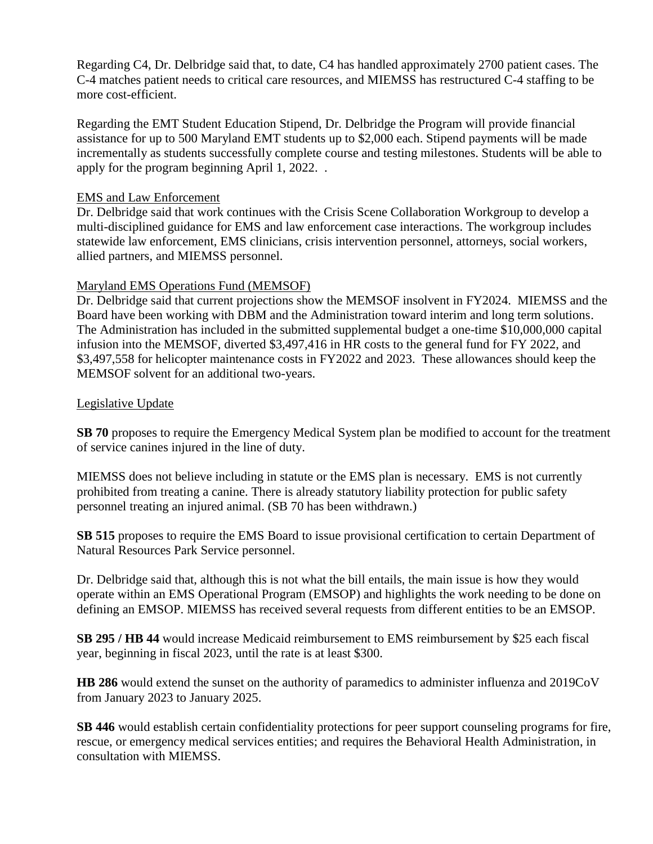Regarding C4, Dr. Delbridge said that, to date, C4 has handled approximately 2700 patient cases. The C-4 matches patient needs to critical care resources, and MIEMSS has restructured C-4 staffing to be more cost-efficient.

Regarding the EMT Student Education Stipend, Dr. Delbridge the Program will provide financial assistance for up to 500 Maryland EMT students up to \$2,000 each. Stipend payments will be made incrementally as students successfully complete course and testing milestones. Students will be able to apply for the program beginning April 1, 2022. .

#### EMS and Law Enforcement

Dr. Delbridge said that work continues with the Crisis Scene Collaboration Workgroup to develop a multi-disciplined guidance for EMS and law enforcement case interactions. The workgroup includes statewide law enforcement, EMS clinicians, crisis intervention personnel, attorneys, social workers, allied partners, and MIEMSS personnel.

## Maryland EMS Operations Fund (MEMSOF)

Dr. Delbridge said that current projections show the MEMSOF insolvent in FY2024. MIEMSS and the Board have been working with DBM and the Administration toward interim and long term solutions. The Administration has included in the submitted supplemental budget a one-time \$10,000,000 capital infusion into the MEMSOF, diverted \$3,497,416 in HR costs to the general fund for FY 2022, and \$3,497,558 for helicopter maintenance costs in FY2022 and 2023. These allowances should keep the MEMSOF solvent for an additional two-years.

## Legislative Update

**SB 70** proposes to require the Emergency Medical System plan be modified to account for the treatment of service canines injured in the line of duty.

MIEMSS does not believe including in statute or the EMS plan is necessary. EMS is not currently prohibited from treating a canine. There is already statutory liability protection for public safety personnel treating an injured animal. (SB 70 has been withdrawn.)

**SB 515** proposes to require the EMS Board to issue provisional certification to certain Department of Natural Resources Park Service personnel.

Dr. Delbridge said that, although this is not what the bill entails, the main issue is how they would operate within an EMS Operational Program (EMSOP) and highlights the work needing to be done on defining an EMSOP. MIEMSS has received several requests from different entities to be an EMSOP.

**SB 295 / HB 44** would increase Medicaid reimbursement to EMS reimbursement by \$25 each fiscal year, beginning in fiscal 2023, until the rate is at least \$300.

**HB 286** would extend the sunset on the authority of paramedics to administer influenza and 2019CoV from January 2023 to January 2025.

**SB 446** would establish certain confidentiality protections for peer support counseling programs for fire, rescue, or emergency medical services entities; and requires the Behavioral Health Administration, in consultation with MIEMSS.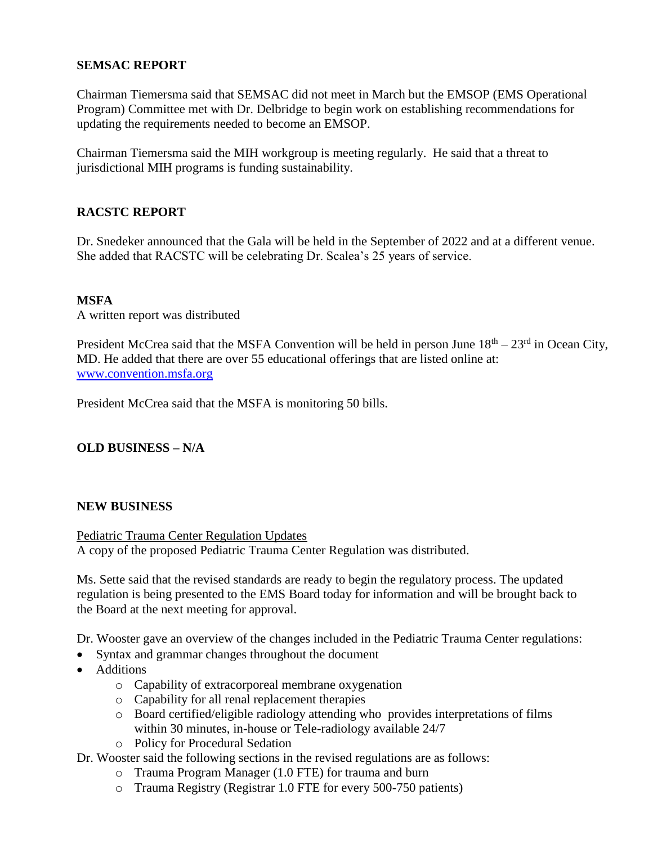# **SEMSAC REPORT**

Chairman Tiemersma said that SEMSAC did not meet in March but the EMSOP (EMS Operational Program) Committee met with Dr. Delbridge to begin work on establishing recommendations for updating the requirements needed to become an EMSOP.

Chairman Tiemersma said the MIH workgroup is meeting regularly. He said that a threat to jurisdictional MIH programs is funding sustainability.

# **RACSTC REPORT**

Dr. Snedeker announced that the Gala will be held in the September of 2022 and at a different venue. She added that RACSTC will be celebrating Dr. Scalea's 25 years of service.

## **MSFA**

A written report was distributed

President McCrea said that the MSFA Convention will be held in person June  $18<sup>th</sup> - 23<sup>rd</sup>$  in Ocean City, MD. He added that there are over 55 educational offerings that are listed online at: [www.convention.msfa.org](http://www.convention.msfa.org/)

President McCrea said that the MSFA is monitoring 50 bills.

#### **OLD BUSINESS – N/A**

#### **NEW BUSINESS**

Pediatric Trauma Center Regulation Updates A copy of the proposed Pediatric Trauma Center Regulation was distributed.

Ms. Sette said that the revised standards are ready to begin the regulatory process. The updated regulation is being presented to the EMS Board today for information and will be brought back to the Board at the next meeting for approval.

Dr. Wooster gave an overview of the changes included in the Pediatric Trauma Center regulations:

- Syntax and grammar changes throughout the document
- Additions
	- o Capability of extracorporeal membrane oxygenation
	- o Capability for all renal replacement therapies
	- o Board certified/eligible radiology attending who provides interpretations of films within 30 minutes, in-house or Tele-radiology available 24/7
	- o Policy for Procedural Sedation

Dr. Wooster said the following sections in the revised regulations are as follows:

- o Trauma Program Manager (1.0 FTE) for trauma and burn
- o Trauma Registry (Registrar 1.0 FTE for every 500-750 patients)